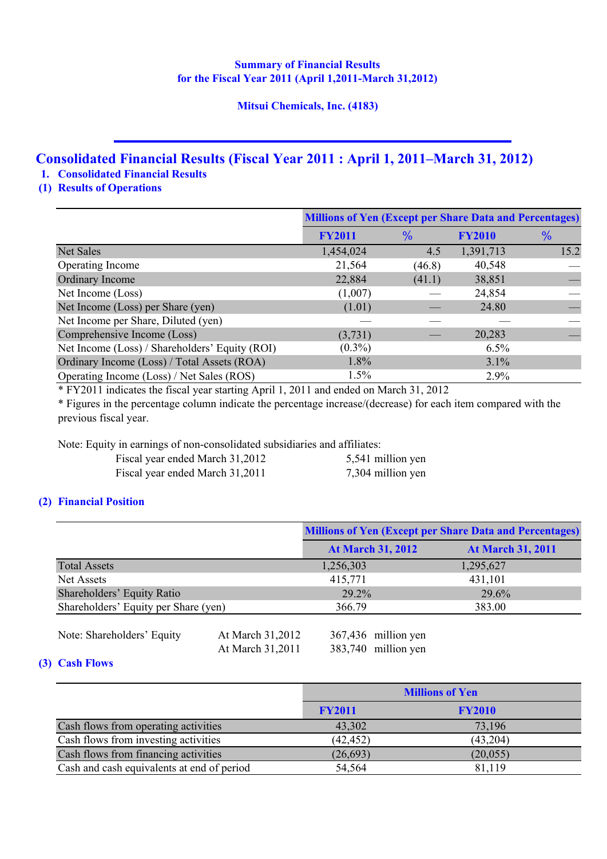# **Summary of Financial Results for the Fiscal Year 2011 (April 1,2011-March 31,2012)**

# **Mitsui Chemicals, Inc. (4183)**

# **Consolidated Financial Results (Fiscal Year 2011 : April 1, 2011–March 31, 2012)**

**1. Consolidated Financial Results**

# **(1) Results of Operations**

|                                                | <b>Millions of Yen (Except per Share Data and Percentages)</b> |               |               |               |
|------------------------------------------------|----------------------------------------------------------------|---------------|---------------|---------------|
|                                                | <b>FY2011</b>                                                  | $\frac{9}{6}$ | <b>FY2010</b> | $\frac{9}{6}$ |
| <b>Net Sales</b>                               | 1,454,024                                                      | 4.5           | 1,391,713     | 15.2          |
| Operating Income                               | 21,564                                                         | (46.8)        | 40,548        |               |
| Ordinary Income                                | 22,884                                                         | (41.1)        | 38,851        |               |
| Net Income (Loss)                              | (1,007)                                                        |               | 24,854        |               |
| Net Income (Loss) per Share (yen)              | (1.01)                                                         |               | 24.80         |               |
| Net Income per Share, Diluted (yen)            |                                                                |               |               |               |
| Comprehensive Income (Loss)                    | (3,731)                                                        |               | 20,283        |               |
| Net Income (Loss) / Shareholders' Equity (ROI) | $(0.3\%)$                                                      |               | 6.5%          |               |
| Ordinary Income (Loss) / Total Assets (ROA)    | 1.8%                                                           |               | 3.1%          |               |
| Operating Income (Loss) / Net Sales (ROS)      | 1.5%                                                           |               | 2.9%          |               |

\* FY2011 indicates the fiscal year starting April 1, 2011 and ended on March 31, 2012

\* Figures in the percentage column indicate the percentage increase/(decrease) for each item compared with the previous fiscal year.

Note: Equity in earnings of non-consolidated subsidiaries and affiliates:

| Fiscal year ended March 31,2012 | 5,541 million yen |
|---------------------------------|-------------------|
| Fiscal year ended March 31,2011 | 7,304 million yen |

# **(2) Financial Position**

|                                      |                  | <b>Millions of Yen (Except per Share Data and Percentages)</b> |                          |
|--------------------------------------|------------------|----------------------------------------------------------------|--------------------------|
|                                      |                  | <b>At March 31, 2012</b>                                       | <b>At March 31, 2011</b> |
| <b>Total Assets</b>                  |                  | 1,256,303                                                      | 1,295,627                |
| Net Assets                           |                  | 415,771                                                        | 431,101                  |
| Shareholders' Equity Ratio           |                  | $29.2\%$                                                       | 29.6%                    |
| Shareholders' Equity per Share (yen) |                  | 366.79                                                         | 383.00                   |
|                                      |                  |                                                                |                          |
| Note: Shareholders' Equity           | At March 31,2012 | 367,436 million yen                                            |                          |

At March 31,2011 383,740 million yen

# **(3) Cash Flows**

|                                            |               | <b>Millions of Yen</b> |  |
|--------------------------------------------|---------------|------------------------|--|
|                                            | <b>FY2011</b> | <b>FY2010</b>          |  |
| Cash flows from operating activities       | 43,302        | 73,196                 |  |
| Cash flows from investing activities       | (42, 452)     | (43, 204)              |  |
| Cash flows from financing activities       | (26, 693)     | (20, 055)              |  |
| Cash and cash equivalents at end of period | 54,564        | 81,119                 |  |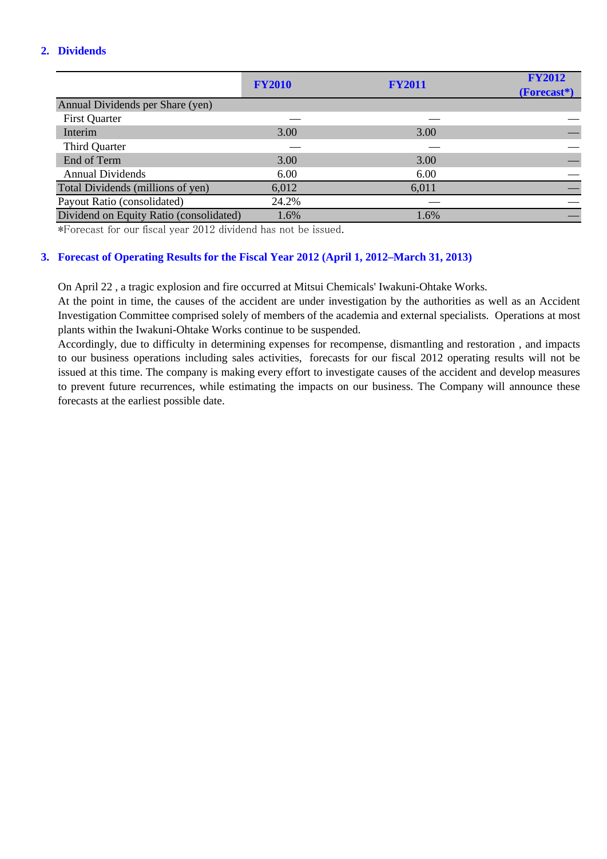# **2. Dividends**

|                                         | <b>FY2010</b> | <b>FY2011</b> | <b>FY2012</b><br>(Forecast*) |
|-----------------------------------------|---------------|---------------|------------------------------|
| Annual Dividends per Share (yen)        |               |               |                              |
| <b>First Quarter</b>                    |               |               |                              |
| Interim                                 | 3.00          | 3.00          |                              |
| <b>Third Quarter</b>                    |               |               |                              |
| End of Term                             | 3.00          | 3.00          |                              |
| <b>Annual Dividends</b>                 | 6.00          | 6.00          |                              |
| Total Dividends (millions of yen)       | 6,012         | 6,011         |                              |
| Payout Ratio (consolidated)             | 24.2%         |               |                              |
| Dividend on Equity Ratio (consolidated) | 1.6%          | 1.6%          |                              |

\*Forecast for our fiscal year 2012 dividend has not be issued.

## **3. Forecast of Operating Results for the Fiscal Year 2012 (April 1, 2012–March 31, 2013)**

On April 22 , a tragic explosion and fire occurred at Mitsui Chemicals' Iwakuni-Ohtake Works.

At the point in time, the causes of the accident are under investigation by the authorities as well as an Accident Investigation Committee comprised solely of members of the academia and external specialists. Operations at most plants within the Iwakuni-Ohtake Works continue to be suspended.

Accordingly, due to difficulty in determining expenses for recompense, dismantling and restoration , and impacts to our business operations including sales activities, forecasts for our fiscal 2012 operating results will not be issued at this time. The company is making every effort to investigate causes of the accident and develop measures to prevent future recurrences, while estimating the impacts on our business. The Company will announce these forecasts at the earliest possible date.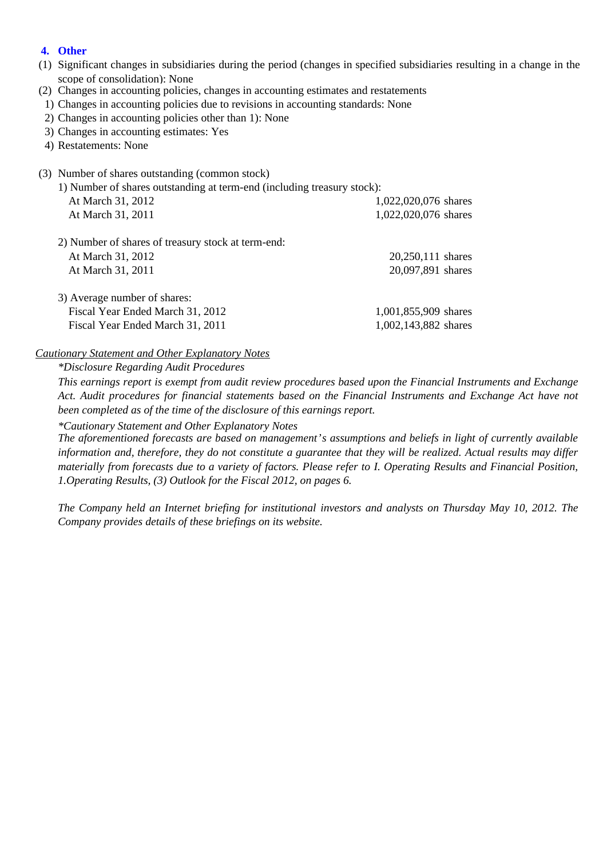# **4. Other**

- (1) Significant changes in subsidiaries during the period (changes in specified subsidiaries resulting in a change in the scope of consolidation): None
- (2) Changes in accounting policies, changes in accounting estimates and restatements
- 1) Changes in accounting policies due to revisions in accounting standards: None
- 2) Changes in accounting policies other than 1): None
- 3) Changes in accounting estimates: Yes
- 4) Restatements: None
- (3) Number of shares outstanding (common stock)
	- 1) Number of shares outstanding at term-end (including treasury stock):

| At March 31, 2012                                  | 1,022,020,076 shares |
|----------------------------------------------------|----------------------|
| At March 31, 2011                                  | 1,022,020,076 shares |
| 2) Number of shares of treasury stock at term-end: |                      |
| At March 31, 2012                                  | 20,250,111 shares    |
| At March 31, 2011                                  | 20,097,891 shares    |
| 3) Average number of shares:                       |                      |
| Fiscal Year Ended March 31, 2012                   | 1,001,855,909 shares |
| Fiscal Year Ended March 31, 2011                   | 1,002,143,882 shares |

## *Cautionary Statement and Other Explanatory Notes*

*\*Disclosure Regarding Audit Procedures*

*This earnings report is exempt from audit review procedures based upon the Financial Instruments and Exchange Act. Audit procedures for financial statements based on the Financial Instruments and Exchange Act have not been completed as of the time of the disclosure of this earnings report.*

#### *\*Cautionary Statement and Other Explanatory Notes*

*The aforementioned forecasts are based on management's assumptions and beliefs in light of currently available information and, therefore, they do not constitute a guarantee that they will be realized. Actual results may differ materially from forecasts due to a variety of factors. Please refer to I. Operating Results and Financial Position, 1.Operating Results, (3) Outlook for the Fiscal 2012, on pages 6.*

*The Company held an Internet briefing for institutional investors and analysts on Thursday May 10, 2012. The Company provides details of these briefings on its website.*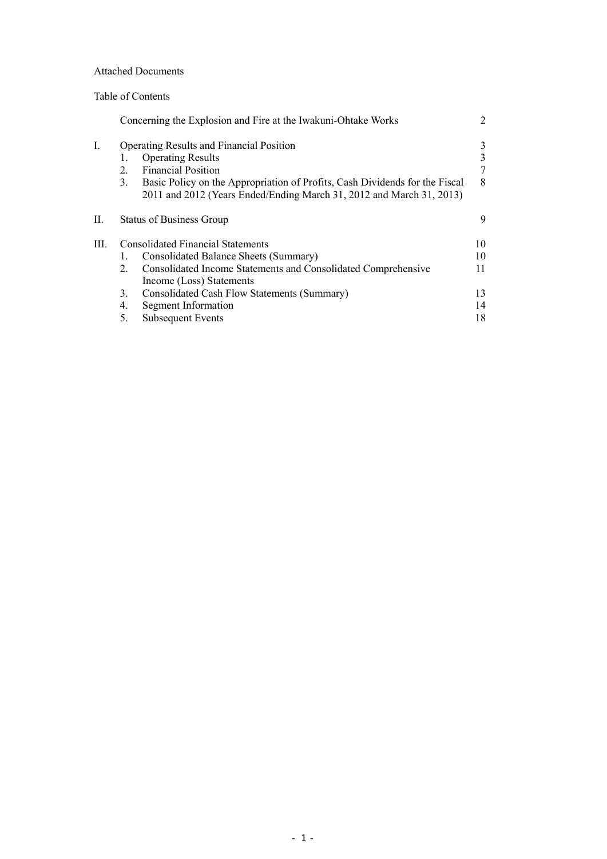## Attached Documents

## Table of Contents

|     |         | Concerning the Explosion and Fire at the Iwakuni-Ohtake Works                                                                                       | 2  |
|-----|---------|-----------------------------------------------------------------------------------------------------------------------------------------------------|----|
| I.  |         | <b>Operating Results and Financial Position</b>                                                                                                     | 3  |
|     | 1.      | <b>Operating Results</b>                                                                                                                            |    |
|     | $2_{-}$ | <b>Financial Position</b>                                                                                                                           |    |
|     | 3.      | Basic Policy on the Appropriation of Profits, Cash Dividends for the Fiscal<br>2011 and 2012 (Years Ended/Ending March 31, 2012 and March 31, 2013) | 8  |
| П.  |         | <b>Status of Business Group</b>                                                                                                                     | 9  |
| HI. |         | <b>Consolidated Financial Statements</b>                                                                                                            | 10 |
|     |         | Consolidated Balance Sheets (Summary)                                                                                                               | 10 |
|     | $2_{-}$ | Consolidated Income Statements and Consolidated Comprehensive                                                                                       | 11 |
|     |         | Income (Loss) Statements                                                                                                                            |    |
|     | 3.      | Consolidated Cash Flow Statements (Summary)                                                                                                         | 13 |
|     | 4.      | Segment Information                                                                                                                                 | 14 |
|     | 5.      | <b>Subsequent Events</b>                                                                                                                            | 18 |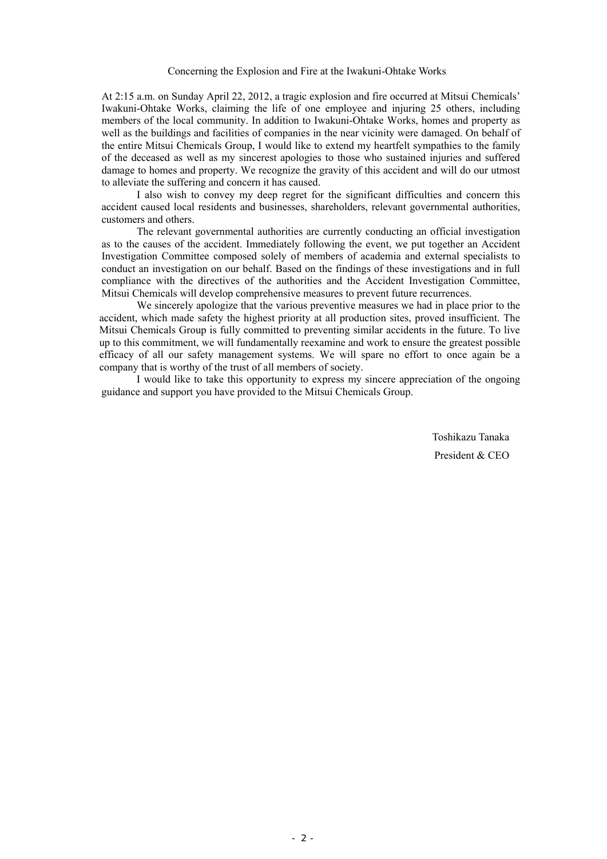Concerning the Explosion and Fire at the Iwakuni-Ohtake Works

At 2:15 a.m. on Sunday April 22, 2012, a tragic explosion and fire occurred at Mitsui Chemicals' Iwakuni-Ohtake Works, claiming the life of one employee and injuring 25 others, including members of the local community. In addition to Iwakuni-Ohtake Works, homes and property as well as the buildings and facilities of companies in the near vicinity were damaged. On behalf of the entire Mitsui Chemicals Group, I would like to extend my heartfelt sympathies to the family of the deceased as well as my sincerest apologies to those who sustained injuries and suffered damage to homes and property. We recognize the gravity of this accident and will do our utmost to alleviate the suffering and concern it has caused.

I also wish to convey my deep regret for the significant difficulties and concern this accident caused local residents and businesses, shareholders, relevant governmental authorities, customers and others.

 The relevant governmental authorities are currently conducting an official investigation as to the causes of the accident. Immediately following the event, we put together an Accident Investigation Committee composed solely of members of academia and external specialists to conduct an investigation on our behalf. Based on the findings of these investigations and in full compliance with the directives of the authorities and the Accident Investigation Committee, Mitsui Chemicals will develop comprehensive measures to prevent future recurrences.

 We sincerely apologize that the various preventive measures we had in place prior to the accident, which made safety the highest priority at all production sites, proved insufficient. The Mitsui Chemicals Group is fully committed to preventing similar accidents in the future. To live up to this commitment, we will fundamentally reexamine and work to ensure the greatest possible efficacy of all our safety management systems. We will spare no effort to once again be a company that is worthy of the trust of all members of society.

I would like to take this opportunity to express my sincere appreciation of the ongoing guidance and support you have provided to the Mitsui Chemicals Group.

> Toshikazu Tanaka President & CEO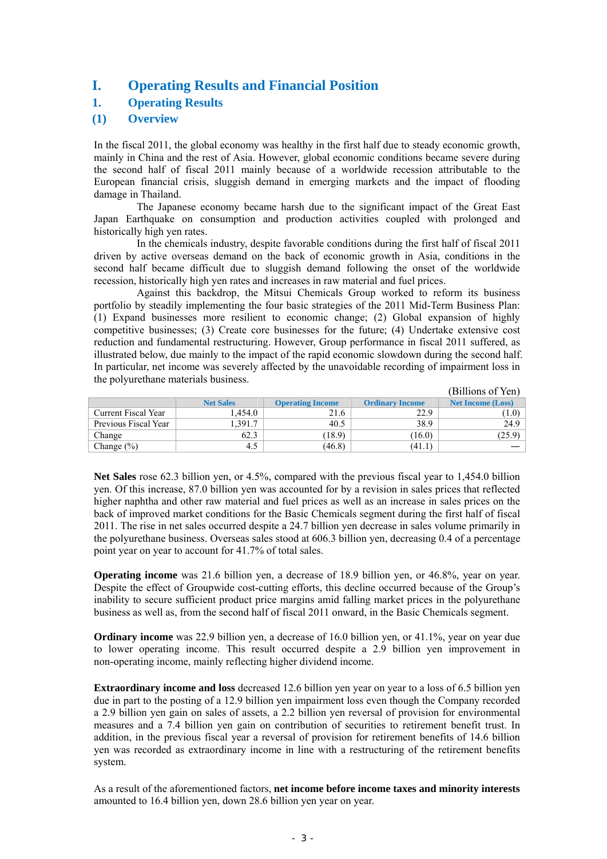# **I. Operating Results and Financial Position**

# **1. Operating Results**

# **(1) Overview**

In the fiscal 2011, the global economy was healthy in the first half due to steady economic growth, mainly in China and the rest of Asia. However, global economic conditions became severe during the second half of fiscal 2011 mainly because of a worldwide recession attributable to the European financial crisis, sluggish demand in emerging markets and the impact of flooding damage in Thailand.

The Japanese economy became harsh due to the significant impact of the Great East Japan Earthquake on consumption and production activities coupled with prolonged and historically high yen rates.

In the chemicals industry, despite favorable conditions during the first half of fiscal 2011 driven by active overseas demand on the back of economic growth in Asia, conditions in the second half became difficult due to sluggish demand following the onset of the worldwide recession, historically high yen rates and increases in raw material and fuel prices.

Against this backdrop, the Mitsui Chemicals Group worked to reform its business portfolio by steadily implementing the four basic strategies of the 2011 Mid-Term Business Plan: (1) Expand businesses more resilient to economic change; (2) Global expansion of highly competitive businesses; (3) Create core businesses for the future; (4) Undertake extensive cost reduction and fundamental restructuring. However, Group performance in fiscal 2011 suffered, as illustrated below, due mainly to the impact of the rapid economic slowdown during the second half. In particular, net income was severely affected by the unavoidable recording of impairment loss in the polyurethane materials business.

|                      |                  |                         |                        | (Billions of Yen)        |
|----------------------|------------------|-------------------------|------------------------|--------------------------|
|                      | <b>Net Sales</b> | <b>Operating Income</b> | <b>Ordinary Income</b> | <b>Net Income (Loss)</b> |
| Current Fiscal Year  | l.454.0          | 21.6                    | 22.9                   | 1.0)                     |
| Previous Fiscal Year | .391.7           | 40.5                    | 38.9                   | 24.9                     |
| Change               | 62.3             | (18.9)                  | (16.0)                 | (25.9)                   |
| Change $(\% )$       | 4.5              | (46.8)                  | (41.1)                 |                          |

**Net Sales** rose 62.3 billion yen, or 4.5%, compared with the previous fiscal year to 1,454.0 billion yen. Of this increase, 87.0 billion yen was accounted for by a revision in sales prices that reflected higher naphtha and other raw material and fuel prices as well as an increase in sales prices on the back of improved market conditions for the Basic Chemicals segment during the first half of fiscal 2011. The rise in net sales occurred despite a 24.7 billion yen decrease in sales volume primarily in the polyurethane business. Overseas sales stood at 606.3 billion yen, decreasing 0.4 of a percentage point year on year to account for 41.7% of total sales.

**Operating income** was 21.6 billion yen, a decrease of 18.9 billion yen, or 46.8%, year on year. Despite the effect of Groupwide cost-cutting efforts, this decline occurred because of the Group's inability to secure sufficient product price margins amid falling market prices in the polyurethane business as well as, from the second half of fiscal 2011 onward, in the Basic Chemicals segment.

**Ordinary income** was 22.9 billion yen, a decrease of 16.0 billion yen, or 41.1%, year on year due to lower operating income. This result occurred despite a 2.9 billion yen improvement in non-operating income, mainly reflecting higher dividend income.

**Extraordinary income and loss** decreased 12.6 billion yen year on year to a loss of 6.5 billion yen due in part to the posting of a 12.9 billion yen impairment loss even though the Company recorded a 2.9 billion yen gain on sales of assets, a 2.2 billion yen reversal of provision for environmental measures and a 7.4 billion yen gain on contribution of securities to retirement benefit trust. In addition, in the previous fiscal year a reversal of provision for retirement benefits of 14.6 billion yen was recorded as extraordinary income in line with a restructuring of the retirement benefits system.

As a result of the aforementioned factors, **net income before income taxes and minority interests**  amounted to 16.4 billion yen, down 28.6 billion yen year on year.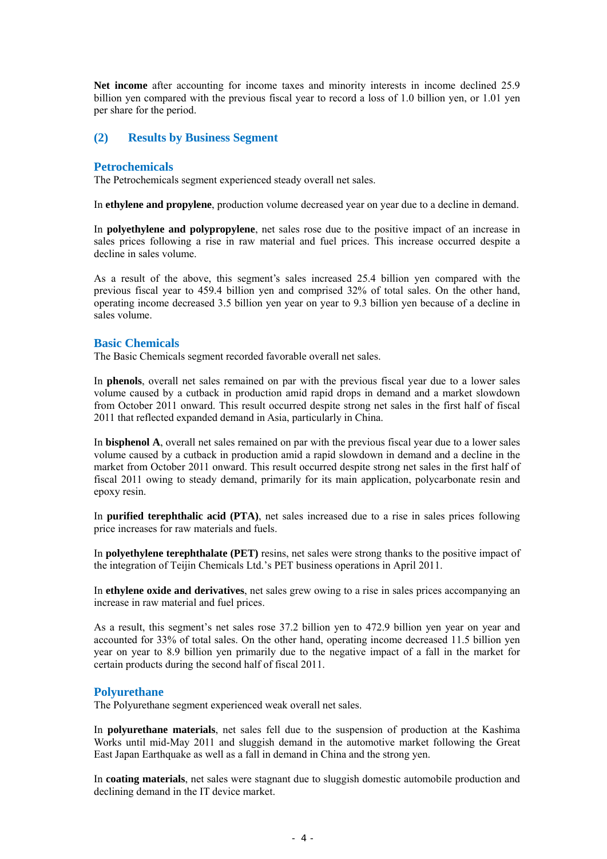**Net income** after accounting for income taxes and minority interests in income declined 25.9 billion yen compared with the previous fiscal year to record a loss of 1.0 billion yen, or 1.01 yen per share for the period.

#### **(2) Results by Business Segment**

#### **Petrochemicals**

The Petrochemicals segment experienced steady overall net sales.

In **ethylene and propylene**, production volume decreased year on year due to a decline in demand.

In **polyethylene and polypropylene**, net sales rose due to the positive impact of an increase in sales prices following a rise in raw material and fuel prices. This increase occurred despite a decline in sales volume.

As a result of the above, this segment's sales increased 25.4 billion yen compared with the previous fiscal year to 459.4 billion yen and comprised 32% of total sales. On the other hand, operating income decreased 3.5 billion yen year on year to 9.3 billion yen because of a decline in sales volume.

#### **Basic Chemicals**

The Basic Chemicals segment recorded favorable overall net sales.

In **phenols**, overall net sales remained on par with the previous fiscal year due to a lower sales volume caused by a cutback in production amid rapid drops in demand and a market slowdown from October 2011 onward. This result occurred despite strong net sales in the first half of fiscal 2011 that reflected expanded demand in Asia, particularly in China.

In **bisphenol A**, overall net sales remained on par with the previous fiscal year due to a lower sales volume caused by a cutback in production amid a rapid slowdown in demand and a decline in the market from October 2011 onward. This result occurred despite strong net sales in the first half of fiscal 2011 owing to steady demand, primarily for its main application, polycarbonate resin and epoxy resin.

In **purified terephthalic acid (PTA)**, net sales increased due to a rise in sales prices following price increases for raw materials and fuels.

In **polyethylene terephthalate (PET)** resins, net sales were strong thanks to the positive impact of the integration of Teijin Chemicals Ltd.'s PET business operations in April 2011.

In **ethylene oxide and derivatives**, net sales grew owing to a rise in sales prices accompanying an increase in raw material and fuel prices.

As a result, this segment's net sales rose 37.2 billion yen to 472.9 billion yen year on year and accounted for 33% of total sales. On the other hand, operating income decreased 11.5 billion yen year on year to 8.9 billion yen primarily due to the negative impact of a fall in the market for certain products during the second half of fiscal 2011.

#### **Polyurethane**

The Polyurethane segment experienced weak overall net sales.

In **polyurethane materials**, net sales fell due to the suspension of production at the Kashima Works until mid-May 2011 and sluggish demand in the automotive market following the Great East Japan Earthquake as well as a fall in demand in China and the strong yen.

In **coating materials**, net sales were stagnant due to sluggish domestic automobile production and declining demand in the IT device market.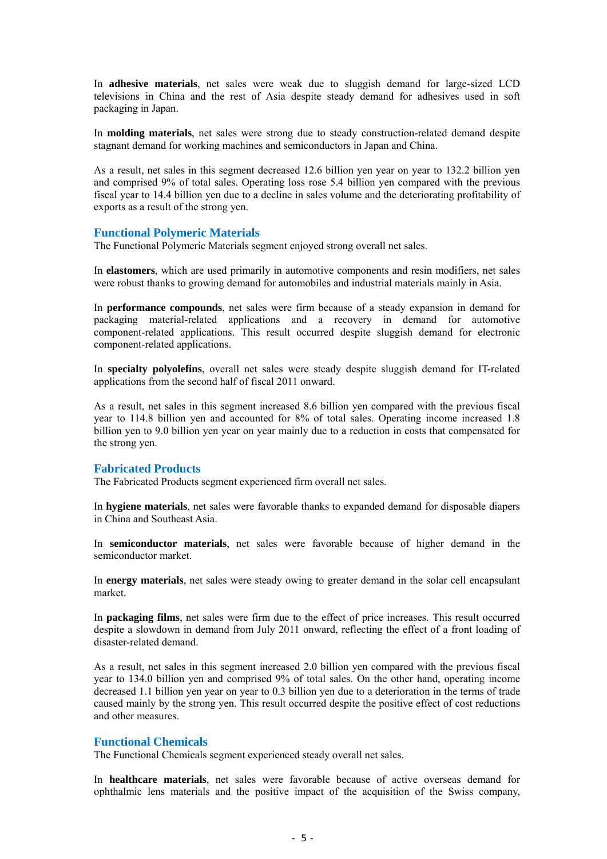In **adhesive materials**, net sales were weak due to sluggish demand for large-sized LCD televisions in China and the rest of Asia despite steady demand for adhesives used in soft packaging in Japan.

In **molding materials**, net sales were strong due to steady construction-related demand despite stagnant demand for working machines and semiconductors in Japan and China.

As a result, net sales in this segment decreased 12.6 billion yen year on year to 132.2 billion yen and comprised 9% of total sales. Operating loss rose 5.4 billion yen compared with the previous fiscal year to 14.4 billion yen due to a decline in sales volume and the deteriorating profitability of exports as a result of the strong yen.

#### **Functional Polymeric Materials**

The Functional Polymeric Materials segment enjoyed strong overall net sales.

In **elastomers**, which are used primarily in automotive components and resin modifiers, net sales were robust thanks to growing demand for automobiles and industrial materials mainly in Asia.

In **performance compounds**, net sales were firm because of a steady expansion in demand for packaging material-related applications and a recovery in demand for automotive component-related applications. This result occurred despite sluggish demand for electronic component-related applications.

In **specialty polyolefins**, overall net sales were steady despite sluggish demand for IT-related applications from the second half of fiscal 2011 onward.

As a result, net sales in this segment increased 8.6 billion yen compared with the previous fiscal year to 114.8 billion yen and accounted for 8% of total sales. Operating income increased 1.8 billion yen to 9.0 billion yen year on year mainly due to a reduction in costs that compensated for the strong yen.

#### **Fabricated Products**

The Fabricated Products segment experienced firm overall net sales.

In **hygiene materials**, net sales were favorable thanks to expanded demand for disposable diapers in China and Southeast Asia.

In **semiconductor materials**, net sales were favorable because of higher demand in the semiconductor market.

In **energy materials**, net sales were steady owing to greater demand in the solar cell encapsulant market.

In **packaging films**, net sales were firm due to the effect of price increases. This result occurred despite a slowdown in demand from July 2011 onward, reflecting the effect of a front loading of disaster-related demand.

As a result, net sales in this segment increased 2.0 billion yen compared with the previous fiscal year to 134.0 billion yen and comprised 9% of total sales. On the other hand, operating income decreased 1.1 billion yen year on year to 0.3 billion yen due to a deterioration in the terms of trade caused mainly by the strong yen. This result occurred despite the positive effect of cost reductions and other measures.

#### **Functional Chemicals**

The Functional Chemicals segment experienced steady overall net sales.

In **healthcare materials**, net sales were favorable because of active overseas demand for ophthalmic lens materials and the positive impact of the acquisition of the Swiss company,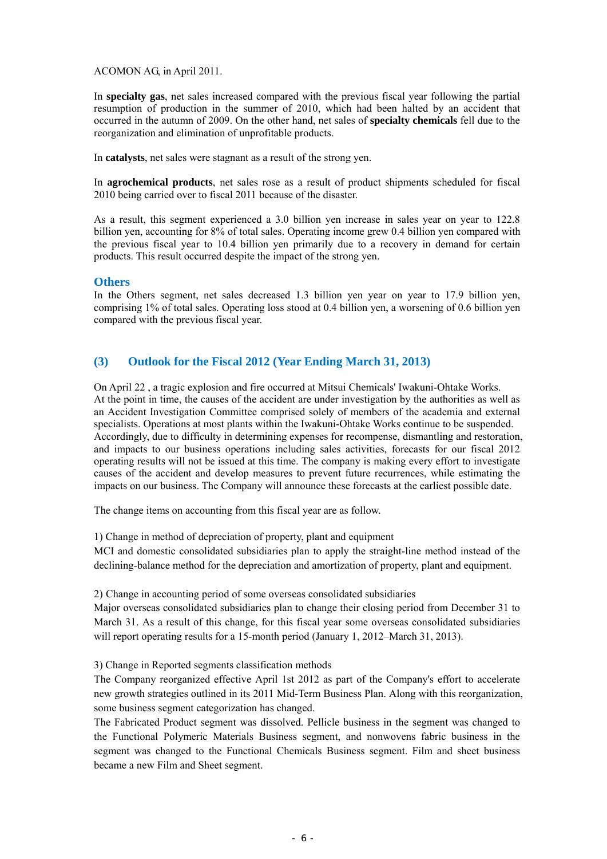ACOMON AG, in April 2011.

In **specialty gas**, net sales increased compared with the previous fiscal year following the partial resumption of production in the summer of 2010, which had been halted by an accident that occurred in the autumn of 2009. On the other hand, net sales of **specialty chemicals** fell due to the reorganization and elimination of unprofitable products.

In **catalysts**, net sales were stagnant as a result of the strong yen.

In **agrochemical products**, net sales rose as a result of product shipments scheduled for fiscal 2010 being carried over to fiscal 2011 because of the disaster.

As a result, this segment experienced a 3.0 billion yen increase in sales year on year to 122.8 billion yen, accounting for 8% of total sales. Operating income grew 0.4 billion yen compared with the previous fiscal year to 10.4 billion yen primarily due to a recovery in demand for certain products. This result occurred despite the impact of the strong yen.

#### **Others**

In the Others segment, net sales decreased 1.3 billion yen year on year to 17.9 billion yen, comprising 1% of total sales. Operating loss stood at 0.4 billion yen, a worsening of 0.6 billion yen compared with the previous fiscal year.

# **(3) Outlook for the Fiscal 2012 (Year Ending March 31, 2013)**

On April 22 , a tragic explosion and fire occurred at Mitsui Chemicals' Iwakuni-Ohtake Works. At the point in time, the causes of the accident are under investigation by the authorities as well as an Accident Investigation Committee comprised solely of members of the academia and external specialists. Operations at most plants within the Iwakuni-Ohtake Works continue to be suspended. Accordingly, due to difficulty in determining expenses for recompense, dismantling and restoration, and impacts to our business operations including sales activities, forecasts for our fiscal 2012 operating results will not be issued at this time. The company is making every effort to investigate causes of the accident and develop measures to prevent future recurrences, while estimating the impacts on our business. The Company will announce these forecasts at the earliest possible date.

The change items on accounting from this fiscal year are as follow.

1) Change in method of depreciation of property, plant and equipment

MCI and domestic consolidated subsidiaries plan to apply the straight-line method instead of the declining-balance method for the depreciation and amortization of property, plant and equipment.

#### 2) Change in accounting period of some overseas consolidated subsidiaries

Major overseas consolidated subsidiaries plan to change their closing period from December 31 to March 31. As a result of this change, for this fiscal year some overseas consolidated subsidiaries will report operating results for a 15-month period (January 1, 2012–March 31, 2013).

3) Change in Reported segments classification methods

The Company reorganized effective April 1st 2012 as part of the Company's effort to accelerate new growth strategies outlined in its 2011 Mid-Term Business Plan. Along with this reorganization, some business segment categorization has changed.

The Fabricated Product segment was dissolved. Pellicle business in the segment was changed to the Functional Polymeric Materials Business segment, and nonwovens fabric business in the segment was changed to the Functional Chemicals Business segment. Film and sheet business became a new Film and Sheet segment.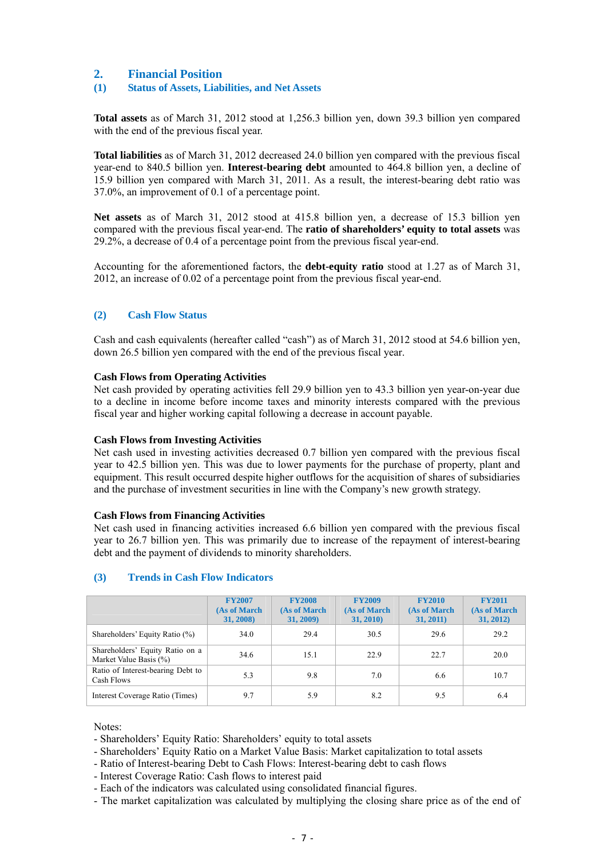# **2. Financial Position**

#### **(1) Status of Assets, Liabilities, and Net Assets**

**Total assets** as of March 31, 2012 stood at 1,256.3 billion yen, down 39.3 billion yen compared with the end of the previous fiscal year.

**Total liabilities** as of March 31, 2012 decreased 24.0 billion yen compared with the previous fiscal year-end to 840.5 billion yen. **Interest-bearing debt** amounted to 464.8 billion yen, a decline of 15.9 billion yen compared with March 31, 2011. As a result, the interest-bearing debt ratio was 37.0%, an improvement of 0.1 of a percentage point.

**Net assets** as of March 31, 2012 stood at 415.8 billion yen, a decrease of 15.3 billion yen compared with the previous fiscal year-end. The **ratio of shareholders' equity to total assets** was 29.2%, a decrease of 0.4 of a percentage point from the previous fiscal year-end.

Accounting for the aforementioned factors, the **debt-equity ratio** stood at 1.27 as of March 31, 2012, an increase of 0.02 of a percentage point from the previous fiscal year-end.

#### **(2) Cash Flow Status**

Cash and cash equivalents (hereafter called "cash") as of March 31, 2012 stood at 54.6 billion yen, down 26.5 billion yen compared with the end of the previous fiscal year.

#### **Cash Flows from Operating Activities**

Net cash provided by operating activities fell 29.9 billion yen to 43.3 billion yen year-on-year due to a decline in income before income taxes and minority interests compared with the previous fiscal year and higher working capital following a decrease in account payable.

#### **Cash Flows from Investing Activities**

Net cash used in investing activities decreased 0.7 billion yen compared with the previous fiscal year to 42.5 billion yen. This was due to lower payments for the purchase of property, plant and equipment. This result occurred despite higher outflows for the acquisition of shares of subsidiaries and the purchase of investment securities in line with the Company's new growth strategy.

#### **Cash Flows from Financing Activities**

Net cash used in financing activities increased 6.6 billion yen compared with the previous fiscal year to 26.7 billion yen. This was primarily due to increase of the repayment of interest-bearing debt and the payment of dividends to minority shareholders.

#### **(3) Trends in Cash Flow Indicators**

|                                                           | <b>FY2007</b><br>(As of March<br>31, 2008) | <b>FY2008</b><br>(As of March<br>31, 2009) | <b>FY2009</b><br>(As of March<br>31, 2010) | <b>FY2010</b><br>(As of March<br>31, 2011) | <b>FY2011</b><br>(As of March<br>31, 2012) |
|-----------------------------------------------------------|--------------------------------------------|--------------------------------------------|--------------------------------------------|--------------------------------------------|--------------------------------------------|
| Shareholders' Equity Ratio (%)                            | 34.0                                       | 29.4                                       | 30.5                                       | 29.6                                       | 29.2                                       |
| Shareholders' Equity Ratio on a<br>Market Value Basis (%) | 34.6                                       | 15.1                                       | 22.9                                       | 22.7                                       | 20.0                                       |
| Ratio of Interest-bearing Debt to<br>Cash Flows           | 5.3                                        | 9.8                                        | 7.0                                        | 6.6                                        | 10.7                                       |
| Interest Coverage Ratio (Times)                           | 9.7                                        | 5.9                                        | 8.2                                        | 9.5                                        | 6.4                                        |

Notes:

- Shareholders' Equity Ratio: Shareholders' equity to total assets

- Shareholders' Equity Ratio on a Market Value Basis: Market capitalization to total assets

- Ratio of Interest-bearing Debt to Cash Flows: Interest-bearing debt to cash flows
- Interest Coverage Ratio: Cash flows to interest paid

- Each of the indicators was calculated using consolidated financial figures.

- The market capitalization was calculated by multiplying the closing share price as of the end of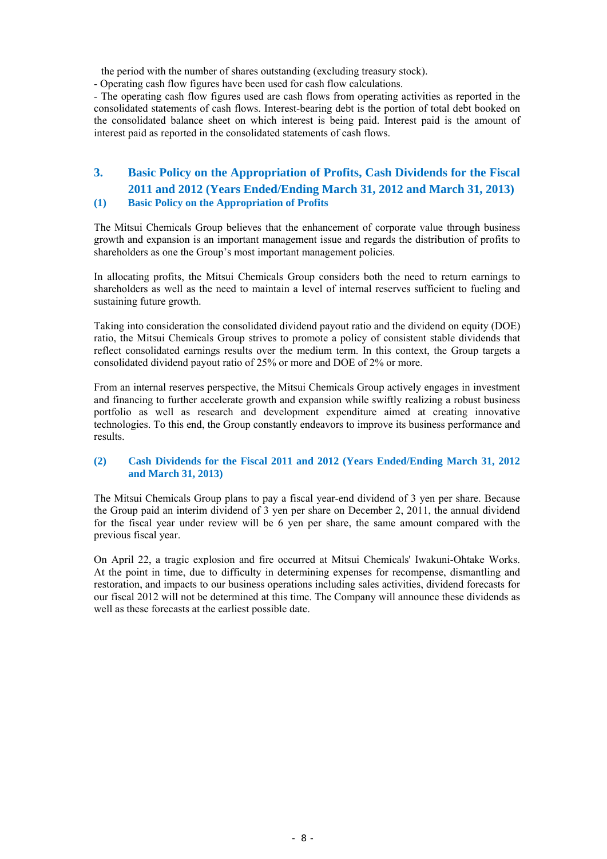the period with the number of shares outstanding (excluding treasury stock).

- Operating cash flow figures have been used for cash flow calculations.

- The operating cash flow figures used are cash flows from operating activities as reported in the consolidated statements of cash flows. Interest-bearing debt is the portion of total debt booked on the consolidated balance sheet on which interest is being paid. Interest paid is the amount of interest paid as reported in the consolidated statements of cash flows.

# **3. Basic Policy on the Appropriation of Profits, Cash Dividends for the Fiscal 2011 and 2012 (Years Ended/Ending March 31, 2012 and March 31, 2013)**

# **(1) Basic Policy on the Appropriation of Profits**

The Mitsui Chemicals Group believes that the enhancement of corporate value through business growth and expansion is an important management issue and regards the distribution of profits to shareholders as one the Group's most important management policies.

In allocating profits, the Mitsui Chemicals Group considers both the need to return earnings to shareholders as well as the need to maintain a level of internal reserves sufficient to fueling and sustaining future growth.

Taking into consideration the consolidated dividend payout ratio and the dividend on equity (DOE) ratio, the Mitsui Chemicals Group strives to promote a policy of consistent stable dividends that reflect consolidated earnings results over the medium term. In this context, the Group targets a consolidated dividend payout ratio of 25% or more and DOE of 2% or more.

From an internal reserves perspective, the Mitsui Chemicals Group actively engages in investment and financing to further accelerate growth and expansion while swiftly realizing a robust business portfolio as well as research and development expenditure aimed at creating innovative technologies. To this end, the Group constantly endeavors to improve its business performance and results.

#### **(2) Cash Dividends for the Fiscal 2011 and 2012 (Years Ended/Ending March 31, 2012 and March 31, 2013)**

The Mitsui Chemicals Group plans to pay a fiscal year-end dividend of 3 yen per share. Because the Group paid an interim dividend of 3 yen per share on December 2, 2011, the annual dividend for the fiscal year under review will be 6 yen per share, the same amount compared with the previous fiscal year.

On April 22, a tragic explosion and fire occurred at Mitsui Chemicals' Iwakuni-Ohtake Works. At the point in time, due to difficulty in determining expenses for recompense, dismantling and restoration, and impacts to our business operations including sales activities, dividend forecasts for our fiscal 2012 will not be determined at this time. The Company will announce these dividends as well as these forecasts at the earliest possible date.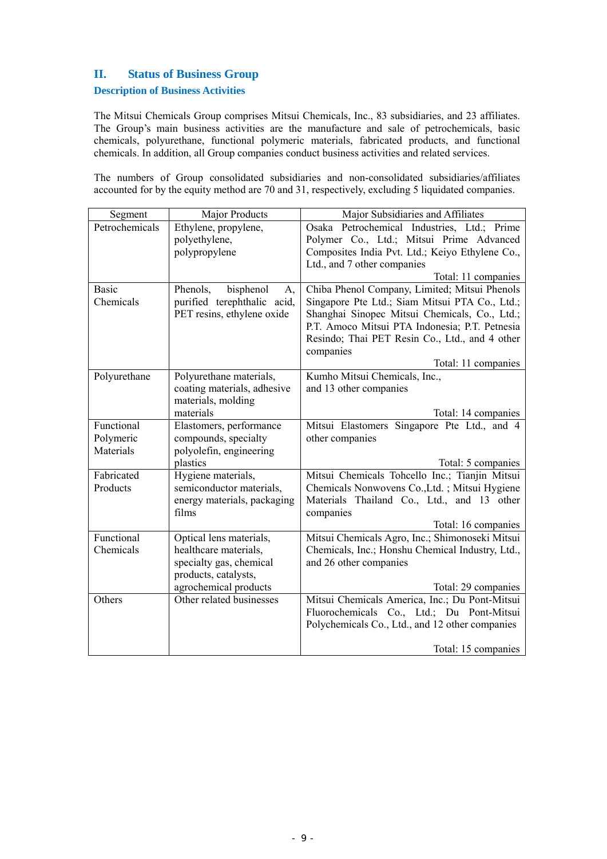# **II. Status of Business Group**

#### **Description of Business Activities**

The Mitsui Chemicals Group comprises Mitsui Chemicals, Inc., 83 subsidiaries, and 23 affiliates. The Group's main business activities are the manufacture and sale of petrochemicals, basic chemicals, polyurethane, functional polymeric materials, fabricated products, and functional chemicals. In addition, all Group companies conduct business activities and related services.

The numbers of Group consolidated subsidiaries and non-consolidated subsidiaries/affiliates accounted for by the equity method are 70 and 31, respectively, excluding 5 liquidated companies.

| Segment        | Major Products              | Major Subsidiaries and Affiliates                |
|----------------|-----------------------------|--------------------------------------------------|
| Petrochemicals | Ethylene, propylene,        | Osaka Petrochemical Industries, Ltd.; Prime      |
|                | polyethylene,               | Polymer Co., Ltd.; Mitsui Prime Advanced         |
|                | polypropylene               | Composites India Pvt. Ltd.; Keiyo Ethylene Co.,  |
|                |                             | Ltd., and 7 other companies                      |
|                |                             | Total: 11 companies                              |
| <b>Basic</b>   | bisphenol<br>Phenols,<br>A, | Chiba Phenol Company, Limited; Mitsui Phenols    |
| Chemicals      | purified terephthalic acid, | Singapore Pte Ltd.; Siam Mitsui PTA Co., Ltd.;   |
|                | PET resins, ethylene oxide  | Shanghai Sinopec Mitsui Chemicals, Co., Ltd.;    |
|                |                             | P.T. Amoco Mitsui PTA Indonesia; P.T. Petnesia   |
|                |                             | Resindo; Thai PET Resin Co., Ltd., and 4 other   |
|                |                             | companies                                        |
|                |                             | Total: 11 companies                              |
| Polyurethane   | Polyurethane materials,     | Kumho Mitsui Chemicals, Inc.,                    |
|                | coating materials, adhesive | and 13 other companies                           |
|                | materials, molding          |                                                  |
|                | materials                   | Total: 14 companies                              |
| Functional     | Elastomers, performance     | Mitsui Elastomers Singapore Pte Ltd., and 4      |
| Polymeric      | compounds, specialty        | other companies                                  |
| Materials      | polyolefin, engineering     |                                                  |
|                | plastics                    | Total: 5 companies                               |
| Fabricated     | Hygiene materials,          | Mitsui Chemicals Tohcello Inc.; Tianjin Mitsui   |
| Products       | semiconductor materials,    | Chemicals Nonwovens Co., Ltd.; Mitsui Hygiene    |
|                | energy materials, packaging | Materials Thailand Co., Ltd., and 13 other       |
|                | films                       | companies                                        |
|                |                             | Total: 16 companies                              |
| Functional     | Optical lens materials,     | Mitsui Chemicals Agro, Inc.; Shimonoseki Mitsui  |
| Chemicals      | healthcare materials,       | Chemicals, Inc.; Honshu Chemical Industry, Ltd., |
|                | specialty gas, chemical     | and 26 other companies                           |
|                | products, catalysts,        |                                                  |
|                | agrochemical products       | Total: 29 companies                              |
| Others         | Other related businesses    | Mitsui Chemicals America, Inc.; Du Pont-Mitsui   |
|                |                             | Fluorochemicals Co., Ltd.; Du Pont-Mitsui        |
|                |                             | Polychemicals Co., Ltd., and 12 other companies  |
|                |                             | Total: 15 companies                              |
|                |                             |                                                  |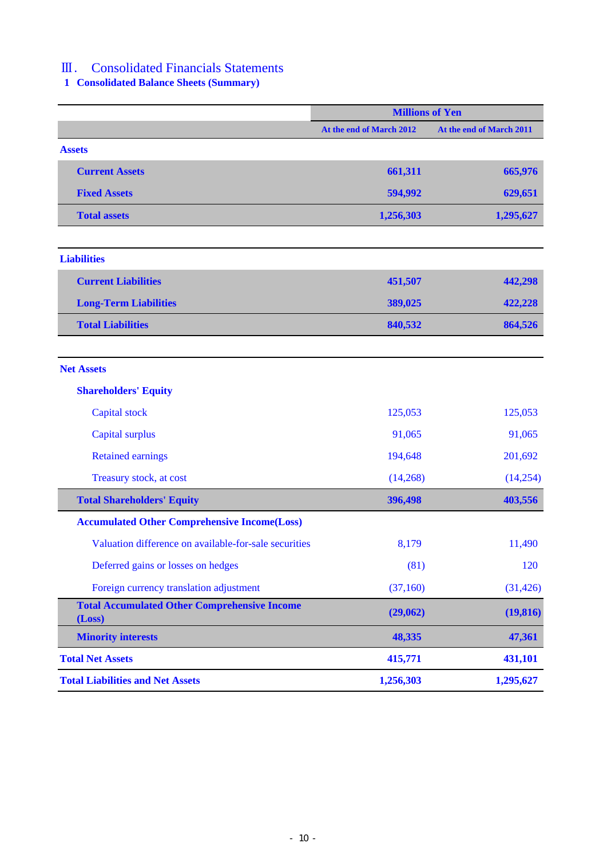# Ⅲ. Consolidated Financials Statements

**1 Consolidated Balance Sheets (Summary)**

|                                                               | <b>Millions of Yen</b>   |                          |
|---------------------------------------------------------------|--------------------------|--------------------------|
|                                                               | At the end of March 2012 | At the end of March 2011 |
| <b>Assets</b>                                                 |                          |                          |
| <b>Current Assets</b>                                         | 661,311                  | 665,976                  |
| <b>Fixed Assets</b>                                           | 594,992                  | 629,651                  |
| <b>Total assets</b>                                           | 1,256,303                | 1,295,627                |
|                                                               |                          |                          |
| <b>Liabilities</b>                                            |                          |                          |
| <b>Current Liabilities</b>                                    | 451,507                  | 442,298                  |
| <b>Long-Term Liabilities</b>                                  | 389,025                  | 422,228                  |
| <b>Total Liabilities</b>                                      | 840,532                  | 864,526                  |
|                                                               |                          |                          |
| <b>Net Assets</b>                                             |                          |                          |
| <b>Shareholders' Equity</b>                                   |                          |                          |
| <b>Capital stock</b>                                          | 125,053                  | 125,053                  |
| <b>Capital surplus</b>                                        | 91,065                   | 91,065                   |
| <b>Retained earnings</b>                                      | 194,648                  | 201,692                  |
| Treasury stock, at cost                                       | (14,268)                 | (14,254)                 |
| <b>Total Shareholders' Equity</b>                             | 396,498                  | 403,556                  |
| <b>Accumulated Other Comprehensive Income(Loss)</b>           |                          |                          |
| Valuation difference on available-for-sale securities         | 8,179                    | 11,490                   |
| Deferred gains or losses on hedges                            | (81)                     | 120                      |
| Foreign currency translation adjustment                       | (37,160)                 | (31, 426)                |
| <b>Total Accumulated Other Comprehensive Income</b><br>(Loss) | (29,062)                 | (19, 816)                |
| <b>Minority interests</b>                                     | 48,335                   | 47,361                   |
| <b>Total Net Assets</b>                                       | 415,771                  | 431,101                  |
| <b>Total Liabilities and Net Assets</b>                       | 1,256,303                | 1,295,627                |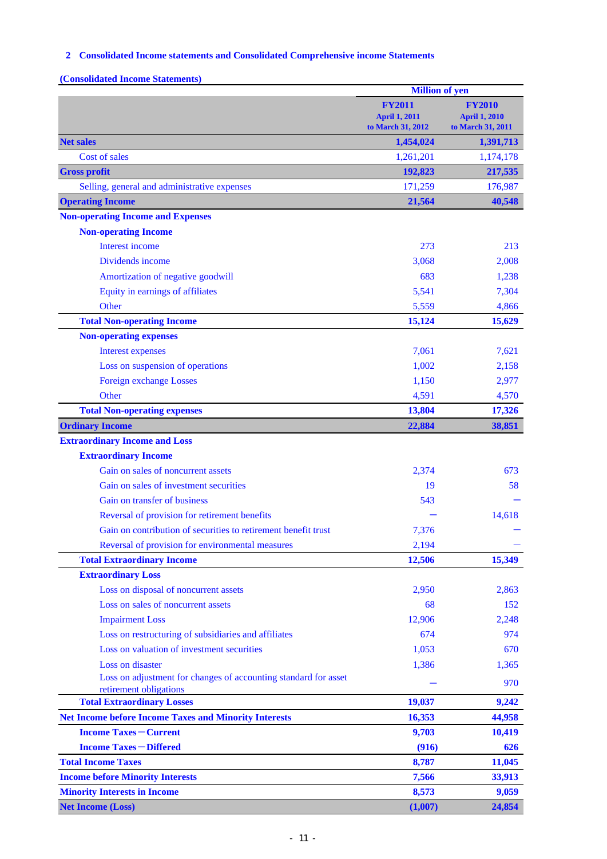## **2 Consolidated Income statements and Consolidated Comprehensive income Statements**

**(Consolidated Income Statements)**

|                                                                                               | <b>Million of yen</b>                                      |                                                            |
|-----------------------------------------------------------------------------------------------|------------------------------------------------------------|------------------------------------------------------------|
|                                                                                               | <b>FY2011</b><br><b>April 1, 2011</b><br>to March 31, 2012 | <b>FY2010</b><br><b>April 1, 2010</b><br>to March 31, 2011 |
| <b>Net sales</b>                                                                              | 1,454,024                                                  | 1,391,713                                                  |
| Cost of sales                                                                                 | 1,261,201                                                  | 1,174,178                                                  |
| <b>Gross profit</b>                                                                           | 192,823                                                    | 217,535                                                    |
| Selling, general and administrative expenses                                                  | 171,259                                                    | 176,987                                                    |
| <b>Operating Income</b>                                                                       | 21,564                                                     | 40,548                                                     |
| <b>Non-operating Income and Expenses</b>                                                      |                                                            |                                                            |
| <b>Non-operating Income</b>                                                                   |                                                            |                                                            |
| Interest income                                                                               | 273                                                        | 213                                                        |
| Dividends income                                                                              | 3,068                                                      | 2,008                                                      |
| Amortization of negative goodwill                                                             | 683                                                        | 1,238                                                      |
| Equity in earnings of affiliates                                                              | 5,541                                                      | 7,304                                                      |
| Other                                                                                         | 5,559                                                      | 4,866                                                      |
| <b>Total Non-operating Income</b>                                                             | 15,124                                                     | 15,629                                                     |
| <b>Non-operating expenses</b>                                                                 |                                                            |                                                            |
| <b>Interest expenses</b>                                                                      | 7,061                                                      | 7,621                                                      |
| Loss on suspension of operations                                                              | 1,002                                                      | 2,158                                                      |
| <b>Foreign exchange Losses</b>                                                                | 1,150                                                      | 2,977                                                      |
| Other                                                                                         | 4,591                                                      | 4,570                                                      |
| <b>Total Non-operating expenses</b>                                                           | 13,804                                                     | 17,326                                                     |
| <b>Ordinary Income</b>                                                                        | 22,884                                                     | 38,851                                                     |
| <b>Extraordinary Income and Loss</b>                                                          |                                                            |                                                            |
| <b>Extraordinary Income</b>                                                                   |                                                            |                                                            |
| Gain on sales of noncurrent assets                                                            | 2,374                                                      | 673                                                        |
| Gain on sales of investment securities                                                        | 19                                                         | 58                                                         |
| Gain on transfer of business                                                                  | 543                                                        |                                                            |
| Reversal of provision for retirement benefits                                                 |                                                            | 14,618                                                     |
| Gain on contribution of securities to retirement benefit trust                                | 7,376                                                      |                                                            |
| Reversal of provision for environmental measures                                              | 2,194                                                      |                                                            |
| <b>Total Extraordinary Income</b>                                                             | 12,506                                                     | 15,349                                                     |
| <b>Extraordinary Loss</b>                                                                     |                                                            |                                                            |
| Loss on disposal of noncurrent assets                                                         | 2,950                                                      | 2,863                                                      |
| Loss on sales of noncurrent assets                                                            | 68                                                         | 152                                                        |
| <b>Impairment Loss</b>                                                                        | 12,906                                                     | 2,248                                                      |
| Loss on restructuring of subsidiaries and affiliates                                          | 674                                                        | 974                                                        |
| Loss on valuation of investment securities                                                    | 1,053                                                      | 670                                                        |
| Loss on disaster                                                                              | 1,386                                                      | 1,365                                                      |
| Loss on adjustment for changes of accounting standard for asset                               |                                                            | 970                                                        |
| retirement obligations                                                                        |                                                            |                                                            |
| <b>Total Extraordinary Losses</b>                                                             | 19,037                                                     | 9,242                                                      |
| <b>Net Income before Income Taxes and Minority Interests</b><br><b>Income Taxes – Current</b> | 16,353                                                     | 44,958                                                     |
|                                                                                               | 9,703                                                      | 10,419                                                     |
| <b>Income Taxes-Differed</b>                                                                  | (916)                                                      | 626                                                        |
| <b>Total Income Taxes</b>                                                                     | 8,787                                                      | 11,045                                                     |
| <b>Income before Minority Interests</b><br><b>Minority Interests in Income</b>                | 7,566<br>8,573                                             | 33,913<br>9,059                                            |
| <b>Net Income (Loss)</b>                                                                      | (1,007)                                                    | 24,854                                                     |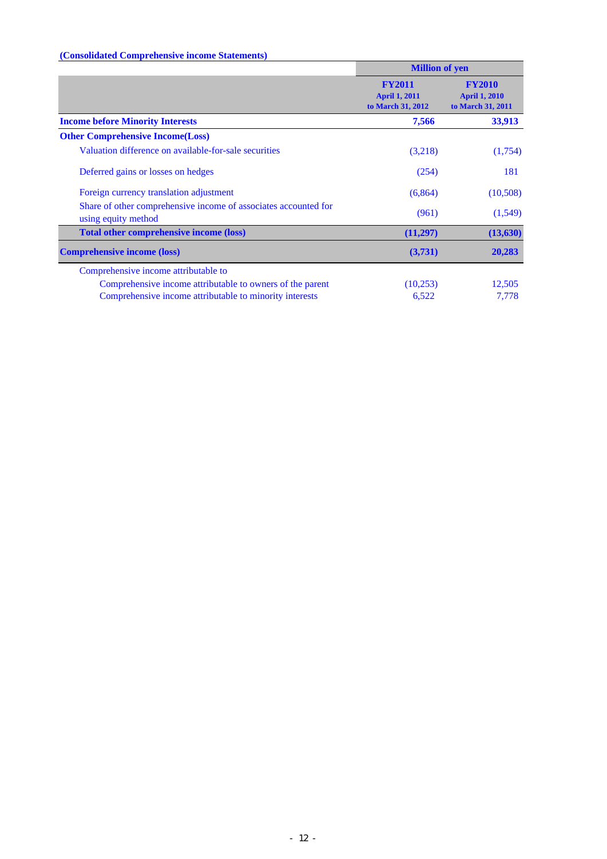# **(Consolidated Comprehensive income Statements)**

|                                                                                        | <b>Million of yen</b>                                      |                                                            |
|----------------------------------------------------------------------------------------|------------------------------------------------------------|------------------------------------------------------------|
|                                                                                        | <b>FY2011</b><br><b>April 1, 2011</b><br>to March 31, 2012 | <b>FY2010</b><br><b>April 1, 2010</b><br>to March 31, 2011 |
| <b>Income before Minority Interests</b>                                                | 7,566                                                      | 33,913                                                     |
| <b>Other Comprehensive Income (Loss)</b>                                               |                                                            |                                                            |
| Valuation difference on available-for-sale securities                                  | (3,218)                                                    | (1,754)                                                    |
| Deferred gains or losses on hedges                                                     | (254)                                                      | 181                                                        |
| Foreign currency translation adjustment                                                | (6,864)                                                    | (10,508)                                                   |
| Share of other comprehensive income of associates accounted for<br>using equity method | (961)                                                      | (1,549)                                                    |
| <b>Total other comprehensive income (loss)</b>                                         | (11,297)                                                   | (13, 630)                                                  |
| <b>Comprehensive income (loss)</b>                                                     | (3,731)                                                    | 20,283                                                     |
| Comprehensive income attributable to                                                   |                                                            |                                                            |
| Comprehensive income attributable to owners of the parent                              | (10,253)                                                   | 12,505                                                     |
| Comprehensive income attributable to minority interests                                | 6,522                                                      | 7,778                                                      |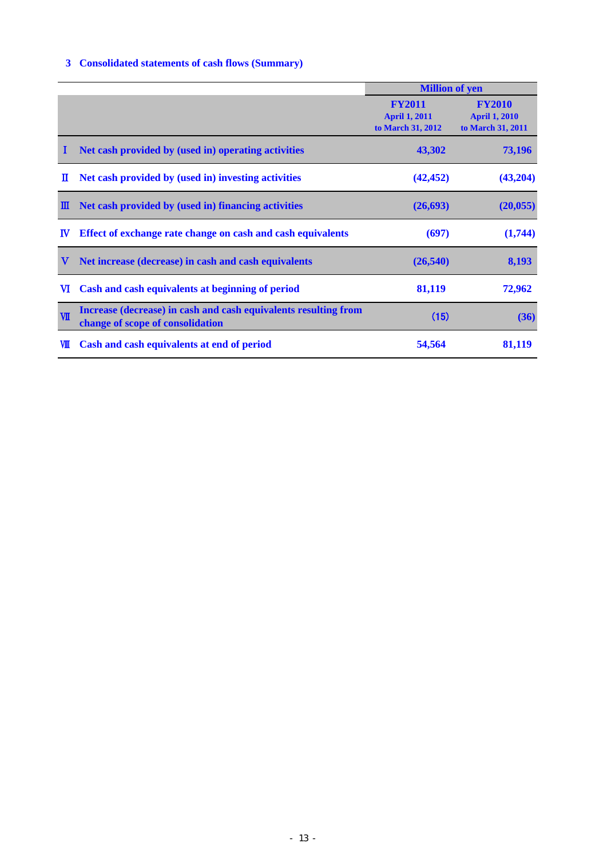# **3 Consolidated statements of cash flows (Summary)**

|              |                                                                                                     | <b>Million of yen</b>                                      |                                                            |
|--------------|-----------------------------------------------------------------------------------------------------|------------------------------------------------------------|------------------------------------------------------------|
|              |                                                                                                     | <b>FY2011</b><br><b>April 1, 2011</b><br>to March 31, 2012 | <b>FY2010</b><br><b>April 1, 2010</b><br>to March 31, 2011 |
|              | Net cash provided by (used in) operating activities                                                 | 43,302                                                     | 73,196                                                     |
| П            | Net cash provided by (used in) investing activities                                                 | (42, 452)                                                  | (43,204)                                                   |
| Ш            | Net cash provided by (used in) financing activities                                                 | (26, 693)                                                  | (20, 055)                                                  |
| $\mathbf{I}$ | Effect of exchange rate change on cash and cash equivalents                                         | (697)                                                      | (1,744)                                                    |
| v            | Net increase (decrease) in cash and cash equivalents                                                | (26, 540)                                                  | 8,193                                                      |
| <b>VI</b>    | Cash and cash equivalents at beginning of period                                                    | 81,119                                                     | 72,962                                                     |
| $\Psi$       | Increase (decrease) in cash and cash equivalents resulting from<br>change of scope of consolidation | (15)                                                       | (36)                                                       |
| VШ           | Cash and cash equivalents at end of period                                                          | 54,564                                                     | 81,119                                                     |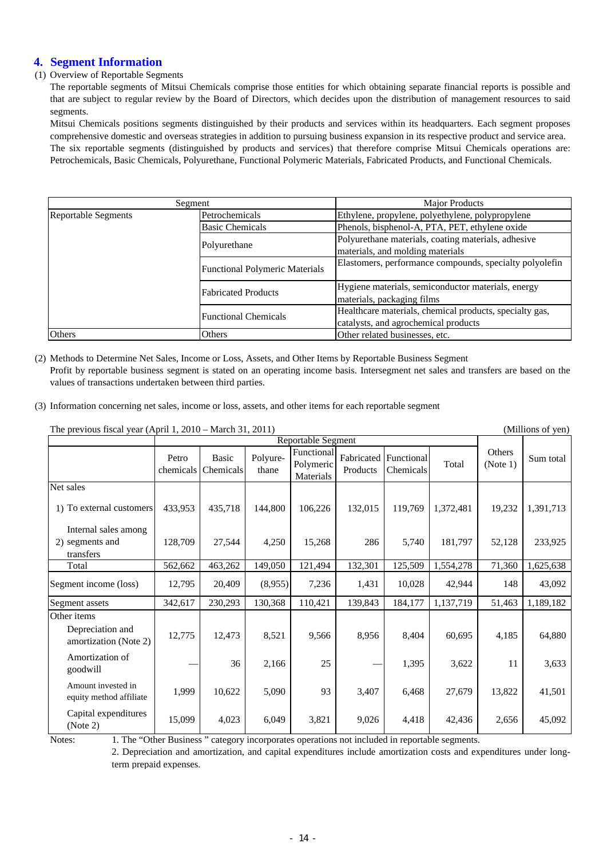# **4. Segment Information**

#### (1) Overview of Reportable Segments

The reportable segments of Mitsui Chemicals comprise those entities for which obtaining separate financial reports is possible and that are subject to regular review by the Board of Directors, which decides upon the distribution of management resources to said segments.

Mitsui Chemicals positions segments distinguished by their products and services within its headquarters. Each segment proposes comprehensive domestic and overseas strategies in addition to pursuing business expansion in its respective product and service area. The six reportable segments (distinguished by products and services) that therefore comprise Mitsui Chemicals operations are: Petrochemicals, Basic Chemicals, Polyurethane, Functional Polymeric Materials, Fabricated Products, and Functional Chemicals.

|                            | Segment                               | <b>Major Products</b>                                                                           |  |  |
|----------------------------|---------------------------------------|-------------------------------------------------------------------------------------------------|--|--|
| <b>Reportable Segments</b> | Petrochemicals                        | Ethylene, propylene, polyethylene, polypropylene                                                |  |  |
|                            | <b>Basic Chemicals</b>                | Phenols, bisphenol-A, PTA, PET, ethylene oxide                                                  |  |  |
|                            | Polyurethane                          | Polyurethane materials, coating materials, adhesive                                             |  |  |
|                            |                                       | materials, and molding materials                                                                |  |  |
|                            | <b>Functional Polymeric Materials</b> | Elastomers, performance compounds, specialty polyolefin                                         |  |  |
|                            | <b>Fabricated Products</b>            | Hygiene materials, semiconductor materials, energy<br>materials, packaging films                |  |  |
|                            | <b>Functional Chemicals</b>           | Healthcare materials, chemical products, specialty gas,<br>catalysts, and agrochemical products |  |  |
| Others                     | Others                                | Other related businesses, etc.                                                                  |  |  |

- (2) Methods to Determine Net Sales, Income or Loss, Assets, and Other Items by Reportable Business Segment Profit by reportable business segment is stated on an operating income basis. Intersegment net sales and transfers are based on the values of transactions undertaken between third parties.
- (3) Information concerning net sales, income or loss, assets, and other items for each reportable segment

The previous fiscal year (April 1, 2010 – March 31, 2011) (Millions of yen)

| THE previous fiscal year (April 1, 2010 – March 91, 2011) |                    |                           |                   |                                      |          |                                    |           |                           | (1)       |
|-----------------------------------------------------------|--------------------|---------------------------|-------------------|--------------------------------------|----------|------------------------------------|-----------|---------------------------|-----------|
|                                                           |                    | <b>Reportable Segment</b> |                   |                                      |          |                                    |           |                           |           |
|                                                           | Petro<br>chemicals | <b>Basic</b><br>Chemicals | Polyure-<br>thane | Functional<br>Polymeric<br>Materials | Products | Fabricated Functional<br>Chemicals | Total     | <b>Others</b><br>(Note 1) | Sum total |
| Net sales                                                 |                    |                           |                   |                                      |          |                                    |           |                           |           |
| 1) To external customers                                  | 433,953            | 435,718                   | 144,800           | 106,226                              | 132,015  | 119,769                            | 1,372,481 | 19,232                    | 1,391,713 |
| Internal sales among<br>2) segments and<br>transfers      | 128,709            | 27,544                    | 4,250             | 15,268                               | 286      | 5,740                              | 181,797   | 52,128                    | 233,925   |
| Total                                                     | 562,662            | 463,262                   | 149,050           | 121,494                              | 132,301  | 125,509                            | 1,554,278 | 71,360                    | 1,625,638 |
| Segment income (loss)                                     | 12,795             | 20,409                    | (8,955)           | 7,236                                | 1,431    | 10,028                             | 42,944    | 148                       | 43,092    |
| Segment assets                                            | 342,617            | 230,293                   | 130,368           | 110,421                              | 139,843  | 184,177                            | 1,137,719 | 51,463                    | 1,189,182 |
| Other items                                               |                    |                           |                   |                                      |          |                                    |           |                           |           |
| Depreciation and<br>amortization (Note 2)                 | 12,775             | 12,473                    | 8,521             | 9,566                                | 8,956    | 8,404                              | 60,695    | 4,185                     | 64,880    |
| Amortization of<br>goodwill                               |                    | 36                        | 2,166             | 25                                   |          | 1,395                              | 3,622     | 11                        | 3,633     |
| Amount invested in<br>equity method affiliate             | 1,999              | 10,622                    | 5,090             | 93                                   | 3,407    | 6,468                              | 27,679    | 13,822                    | 41,501    |
| Capital expenditures<br>(Note 2)                          | 15,099             | 4,023                     | 6,049             | 3,821                                | 9,026    | 4,418                              | 42,436    | 2,656                     | 45,092    |

Notes: 1. The "Other Business " category incorporates operations not included in reportable segments.

2. Depreciation and amortization, and capital expenditures include amortization costs and expenditures under longterm prepaid expenses.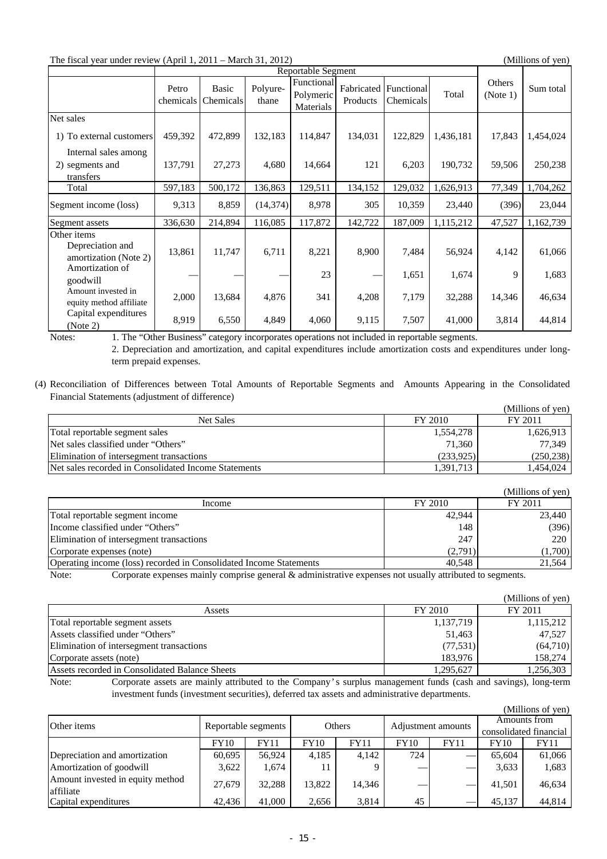| The fiscal year under review (April 1, 2011 – March 31, 2012) |         |                              |                   |                                      |                                   |                  |           |                    | (Millions of yen) |
|---------------------------------------------------------------|---------|------------------------------|-------------------|--------------------------------------|-----------------------------------|------------------|-----------|--------------------|-------------------|
|                                                               |         |                              |                   | Reportable Segment                   |                                   |                  |           |                    |                   |
|                                                               | Petro   | Basic<br>chemicals Chemicals | Polyure-<br>thane | Functional<br>Polymeric<br>Materials | Fabricated Functional<br>Products | <b>Chemicals</b> | Total     | Others<br>(Note 1) | Sum total         |
| Net sales<br>1) To external customers<br>Internal sales among | 459.392 | 472,899                      | 132.183           | 114.847                              | 134,031                           | 122,829          | 1,436,181 | 17.843             | 1.454.024         |

2) segments and  $\begin{bmatrix} 137,791 \\ 27,273 \end{bmatrix}$  4,680  $\begin{bmatrix} 14,664 \\ 14664 \end{bmatrix}$  121 6,203 190,732 59,506 250,238

Total 597,183 500,172 136,863 129,511 134,152 129,032 1,626,913 77,349 1,704,262 Segment income (loss) 9,313 8,859 (14,374) 8,978 305 10,359 23,440 (396) 23,044 Segment assets 336,630 214,894 116,085 117,872 142,722 187,009 1,115,212 47,527 1,162,739

13,861 11,747 6,711 8,221 8,900 7,484 56,924 4,142 61,066  $23$   $1,651$   $1,674$   $9$   $1,683$ 2,000 13,684 4,876 341 4,208 7,179 32,288 14,346 46,634 8,919 6,550 4,849 4,060 9,115 7,507 41,000 3,814 44,814 Amount invested in equity method affiliate Capital expenditures (Note 2) Depreciation and amortization (Note 2) Amortization of goodwill

Other items

transfers

Notes: 1. The "Other Business" category incorporates operations not included in reportable segments.

2. Depreciation and amortization, and capital expenditures include amortization costs and expenditures under longterm prepaid expenses.

(4) Reconciliation of Differences between Total Amounts of Reportable Segments and Amounts Appearing in the Consolidated Financial Statements (adjustment of difference)

|                                                      |           | (Millions of yen) |
|------------------------------------------------------|-----------|-------------------|
| Net Sales                                            | FY 2010   | FY 2011           |
| Total reportable segment sales                       | 1,554,278 | 1,626,913         |
| Net sales classified under "Others"                  | 71,360    | 77.349            |
| Elimination of intersegment transactions             | (233,925) | (250, 238)        |
| Net sales recorded in Consolidated Income Statements | 1,391,713 | 1.454.024         |

|                                                                                             |         | (Millions of yen) |
|---------------------------------------------------------------------------------------------|---------|-------------------|
| Income                                                                                      | FY 2010 | FY 2011           |
| Total reportable segment income                                                             | 42,944  | 23,440            |
| Income classified under "Others"                                                            | 148     | (396)             |
| Elimination of intersegment transactions                                                    | 247     | 220               |
| Corporate expenses (note)                                                                   | (2,791) | (1,700)           |
| Operating income (loss) recorded in Consolidated Income Statements                          | 40.548  | 21,564            |
| $\alpha$ , the contract of $\alpha$ in $\alpha$ is the contract of $\alpha$<br>$\mathbf{M}$ |         |                   |

Note: Corporate expenses mainly comprise general & administrative expenses not usually attributed to segments.

|                                                |                             | (Millions of yen) |
|------------------------------------------------|-----------------------------|-------------------|
| Assets                                         | FY 2010                     | FY 2011           |
| Total reportable segment assets                | 1,137,719                   | 1,115,212         |
| Assets classified under "Others"               | 51,463                      | 47,527            |
| Elimination of intersegment transactions       | (77, 531)                   | (64,710)          |
| Corporate assets (note)                        | 183,976                     | 158,274           |
| Assets recorded in Consolidated Balance Sheets | 1,295,627                   | 1,256,303         |
| .                                              | $\sim$ $\sim$ $\sim$ $\sim$ |                   |

Note: Corporate assets are mainly attributed to the Company's surplus management funds (cash and savings), long-term investment funds (investment securities), deferred tax assets and administrative departments.

 $\alpha$  cons  $\alpha$ 

|                                               |             |                     |        |             |             |                    |             | (Millions of yen)      |  |
|-----------------------------------------------|-------------|---------------------|--------|-------------|-------------|--------------------|-------------|------------------------|--|
| Other items                                   |             | Reportable segments |        | Others      |             | Adjustment amounts |             | Amounts from           |  |
|                                               |             |                     |        |             |             |                    |             | consolidated financial |  |
|                                               | <b>FY10</b> | <b>FY11</b>         | FY10   | <b>FY11</b> | <b>FY10</b> | <b>FY11</b>        | <b>FY10</b> | FY11                   |  |
| Depreciation and amortization                 | 60,695      | 56.924              | 4,185  | 4,142       | 724         |                    | 65.604      | 61,066                 |  |
| Amortization of goodwill                      | 3,622       | 1,674               |        |             |             | __                 | 3,633       | 1,683                  |  |
| Amount invested in equity method<br>affiliate | 27.679      | 32.288              | 13.822 | 14,346      |             |                    | 41.501      | 46,634                 |  |
| Capital expenditures                          | 42.436      | 41,000              | 2,656  | 3,814       | 45          |                    | 45,137      | 44,814                 |  |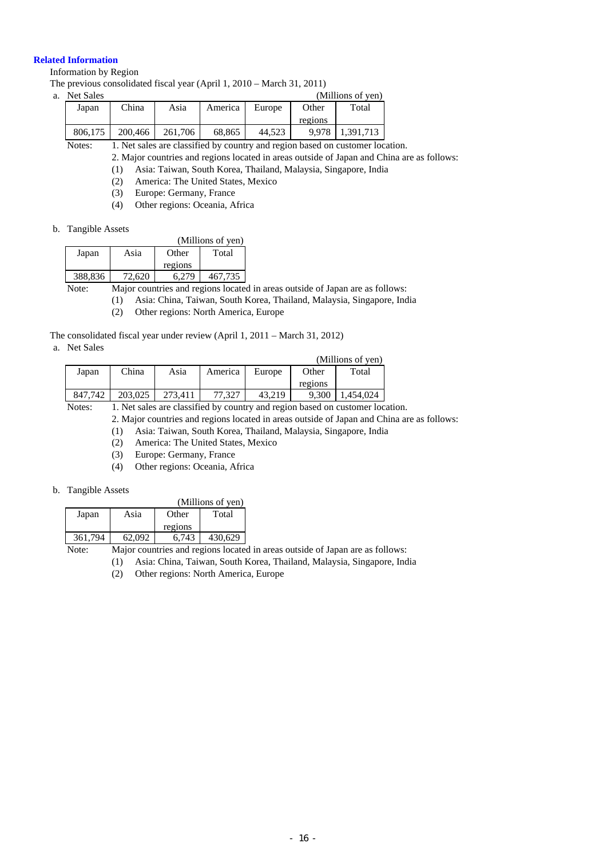#### **Related Information**

Information by Region

The previous consolidated fiscal year (April 1, 2010 – March 31, 2011)

| a. | Net Sales |         |         |         |        |         | (Millions of yen) |
|----|-----------|---------|---------|---------|--------|---------|-------------------|
|    | Japan     | China   | Asia    | America | Europe | Other   | Total             |
|    |           |         |         |         |        | regions |                   |
|    | 806.175   | 200,466 | 261.706 | 68.865  | 44.523 | 9.978   | 1,391,713         |

Notes: 1. Net sales are classified by country and region based on customer location.

2. Major countries and regions located in areas outside of Japan and China are as follows:

(1) Asia: Taiwan, South Korea, Thailand, Malaysia, Singapore, India

- (2) America: The United States, Mexico
- (3) Europe: Germany, France
- (4) Other regions: Oceania, Africa
- b. Tangible Assets

|         |        | (Millions of yen) |         |  |  |  |  |
|---------|--------|-------------------|---------|--|--|--|--|
| Japan   | Asia   | Other             | Total   |  |  |  |  |
|         |        | regions           |         |  |  |  |  |
| 388,836 | 72,620 | 6.279             | 467.735 |  |  |  |  |

Note: Major countries and regions located in areas outside of Japan are as follows:

(1) Asia: China, Taiwan, South Korea, Thailand, Malaysia, Singapore, India

(2) Other regions: North America, Europe

The consolidated fiscal year under review (April 1, 2011 – March 31, 2012)

a. Net Sales

|         |         | (Millions of yen) |         |        |         |          |
|---------|---------|-------------------|---------|--------|---------|----------|
| Japan   | China   | Asia              | America | Europe | Other   | Total    |
|         |         |                   |         |        | regions |          |
| 847.742 | 203,025 | 273.411           | 77.327  | 43.219 | 9,300   | .454.024 |

Notes: 1. Net sales are classified by country and region based on customer location.

2. Major countries and regions located in areas outside of Japan and China are as follows:

- (1) Asia: Taiwan, South Korea, Thailand, Malaysia, Singapore, India
- (2) America: The United States, Mexico
- (3) Europe: Germany, France
- (4) Other regions: Oceania, Africa

#### b. Tangible Assets

|         |      |         | (Millions of yen) |
|---------|------|---------|-------------------|
| Japan   | Asia | Other   | Total             |
|         |      | regions |                   |
| 361.794 | 092  | 6.743   |                   |

Note: Major countries and regions located in areas outside of Japan are as follows:

(1) Asia: China, Taiwan, South Korea, Thailand, Malaysia, Singapore, India

(2) Other regions: North America, Europe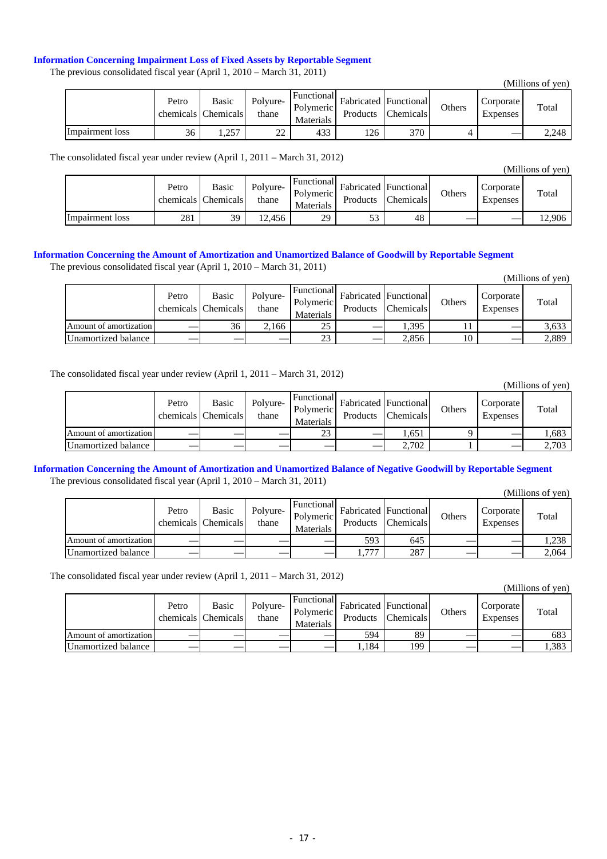#### **Information Concerning Impairment Loss of Fixed Assets by Reportable Segment**

The previous consolidated fiscal year (April 1, 2010 – March 31, 2011)

|                 |       |                                            |                                 |                                             |                                          |                  |               |                       | 1111110110011001110 |
|-----------------|-------|--------------------------------------------|---------------------------------|---------------------------------------------|------------------------------------------|------------------|---------------|-----------------------|---------------------|
|                 | Petro | Basic<br>chemicals Chemicals               | Polyure-<br>thane               | Functional<br><b>Polymeric</b><br>Materials | <b>Fabricated Functional</b><br>Products | <b>Chemicals</b> | <b>Others</b> | Corporate<br>Expenses | Total               |
| Impairment loss | 36    | .257<br>$\sim$ $\sim$ $\sim$ $\sim$ $\sim$ | nn.<br>$\overline{\phantom{a}}$ | 433                                         | 126                                      | 370              |               |                       | 2,248               |

The consolidated fiscal year under review (April 1, 2011 – March 31, 2012)

|                 | Petro | Basic<br>chemicals Chemicals | Polyure-<br>thane | Functional<br>Polymeric<br>Materials | <b>Fabricated Functional</b><br>Products | <b>Chemicals</b> | Others | Corporate<br>Expenses | Total  |
|-----------------|-------|------------------------------|-------------------|--------------------------------------|------------------------------------------|------------------|--------|-----------------------|--------|
| Impairment loss | 281   | 39                           | 12.456            | 29                                   | د -<br>ں ر                               | 48               |        |                       | 12,906 |

#### **Information Concerning the Amount of Amortization and Unamortized Balance of Goodwill by Reportable Segment**

The previous consolidated fiscal year (April 1, 2010 – March 31, 2011)

|                        |       |                              |                   |                                                    |                                          |                  |        |                       | (Millions of yen) |
|------------------------|-------|------------------------------|-------------------|----------------------------------------------------|------------------------------------------|------------------|--------|-----------------------|-------------------|
|                        | Petro | Basic<br>chemicals Chemicals | Polyure-<br>thane | Functional<br><b>Polymeric</b><br><b>Materials</b> | <b>Fabricated Functional</b><br>Products | <b>Chemicals</b> | Others | Corporate<br>Expenses | Total             |
| Amount of amortization |       | 36                           | 2.166             | 25                                                 |                                          | .395             |        |                       | 3,633             |
| Unamortized balance    |       |                              |                   | 23                                                 |                                          | 2,856            | 10     |                       | 2,889             |

The consolidated fiscal year under review (April 1, 2011 – March 31, 2012)

(Millions of yen)

(Millions of yen)

|                        | Petro | <b>Basic</b><br>chemicals Chemicals | Polyure-<br>thane | Functional<br><b>Polymeric</b><br>Materials | <b>Fabricated Functional</b><br>Products | <b>Chemicals</b> | Others | Corporate<br>Expenses | Total |
|------------------------|-------|-------------------------------------|-------------------|---------------------------------------------|------------------------------------------|------------------|--------|-----------------------|-------|
| Amount of amortization |       |                                     |                   | 23                                          |                                          | . 651            |        |                       | .683  |
| Unamortized balance    |       |                                     |                   |                                             |                                          | 2,702            |        |                       | 2,703 |

#### **Information Concerning the Amount of Amortization and Unamortized Balance of Negative Goodwill by Reportable Segment** The previous consolidated fiscal year (April 1, 2010 – March 31, 2011) (Millions of yen)

|                        |       |                              |                   |                                      |                              |                    |        |                              | етиниона от тент |
|------------------------|-------|------------------------------|-------------------|--------------------------------------|------------------------------|--------------------|--------|------------------------------|------------------|
|                        | Petro | Basic<br>chemicals Chemicals | Polyure-<br>thane | Functional<br>Polymeric<br>Materials | <b>Fabricated Functional</b> | Products Chemicals | Others | Corporate<br><b>Expenses</b> | Total            |
| Amount of amortization |       | ___                          | __                |                                      | 593                          | 645                |        |                              | . 238            |
| Unamortized balance    |       |                              |                   |                                      | 777<br>1,77                  | 287                |        |                              | 2,064            |

The consolidated fiscal year under review (April 1, 2011 – March 31, 2012)

|                        | Petro | Basic<br>chemicals Chemicals | Polyure-<br>thane | Functional<br>Polymeric<br><b>Materials</b> | Fabricated Functional<br>Products | <b>Chemicals</b> | Others | Corporate<br>Expenses | Total |
|------------------------|-------|------------------------------|-------------------|---------------------------------------------|-----------------------------------|------------------|--------|-----------------------|-------|
| Amount of amortization |       |                              |                   |                                             | 594                               | 89               |        |                       | 683   |
| Unamortized balance    |       |                              |                   |                                             | .184                              | 199              |        |                       | 1,383 |

(Millions of yen)

(Millions of yen)